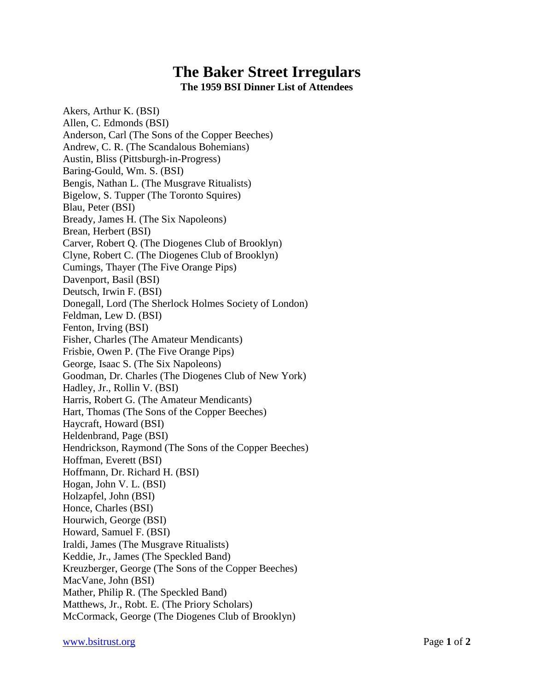## **The Baker Street Irregulars**

**The 1959 BSI Dinner List of Attendees**

Akers, Arthur K. (BSI) Allen, C. Edmonds (BSI) Anderson, Carl (The Sons of the Copper Beeches) Andrew, C. R. (The Scandalous Bohemians) Austin, Bliss (Pittsburgh-in-Progress) Baring-Gould, Wm. S. (BSI) Bengis, Nathan L. (The Musgrave Ritualists) Bigelow, S. Tupper (The Toronto Squires) Blau, Peter (BSI) Bready, James H. (The Six Napoleons) Brean, Herbert (BSI) Carver, Robert Q. (The Diogenes Club of Brooklyn) Clyne, Robert C. (The Diogenes Club of Brooklyn) Cumings, Thayer (The Five Orange Pips) Davenport, Basil (BSI) Deutsch, Irwin F. (BSI) Donegall, Lord (The Sherlock Holmes Society of London) Feldman, Lew D. (BSI) Fenton, Irving (BSI) Fisher, Charles (The Amateur Mendicants) Frisbie, Owen P. (The Five Orange Pips) George, Isaac S. (The Six Napoleons) Goodman, Dr. Charles (The Diogenes Club of New York) Hadley, Jr., Rollin V. (BSI) Harris, Robert G. (The Amateur Mendicants) Hart, Thomas (The Sons of the Copper Beeches) Haycraft, Howard (BSI) Heldenbrand, Page (BSI) Hendrickson, Raymond (The Sons of the Copper Beeches) Hoffman, Everett (BSI) Hoffmann, Dr. Richard H. (BSI) Hogan, John V. L. (BSI) Holzapfel, John (BSI) Honce, Charles (BSI) Hourwich, George (BSI) Howard, Samuel F. (BSI) Iraldi, James (The Musgrave Ritualists) Keddie, Jr., James (The Speckled Band) Kreuzberger, George (The Sons of the Copper Beeches) MacVane, John (BSI) Mather, Philip R. (The Speckled Band) Matthews, Jr., Robt. E. (The Priory Scholars) McCormack, George (The Diogenes Club of Brooklyn)